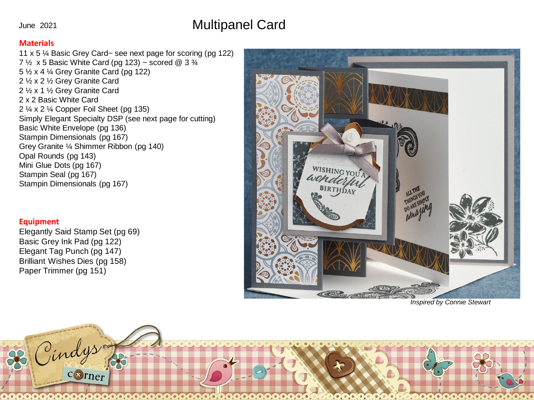## Multipanel Card

## June 2021

## **Materials**

11 x 5 ¼ Basic Grey Card~ see next page for scoring (pg 122) 7  $\frac{1}{2}$  x 5 Basic White Card (pg 123) ~ scored @ 3  $\frac{3}{4}$ 5 ½ x 4 ¼ Grey Granite Card (pg 122) 2 ½ x 2 ½ Grey Granite Card 2 ½ x 1 ½ Grey Granite Card 2 x 2 Basic White Card 2 ¼ x 2 ¼ Copper Foil Sheet (pg 135) Simply Elegant Specialty DSP (see next page for cutting) Basic White Envelope (pg 136) Stampin Dimensionals (pg 167) Grey Granite ¼ Shimmer Ribbon (pg 140) Opal Rounds (pg 143) Mini Glue Dots (pg 167) Stampin Seal (pg 167) Stampin Dimensionals (pg 167)

## **Equipment**

Elegantly Said Stamp Set (pg 69) Basic Grey Ink Pad (pg 122) Elegant Tag Punch (pg 147) Brilliant Wishes Dies (pg 158) Paper Trimmer (pg 151)



*Inspired by Connie Stewart*